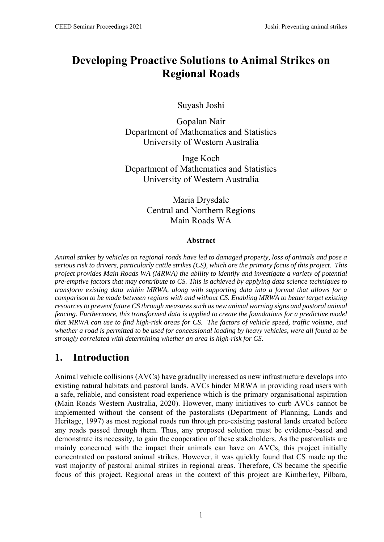# **Developing Proactive Solutions to Animal Strikes on Regional Roads**

Suyash Joshi

Gopalan Nair Department of Mathematics and Statistics University of Western Australia

Inge Koch Department of Mathematics and Statistics University of Western Australia

> Maria Drysdale Central and Northern Regions Main Roads WA

#### **Abstract**

*Animal strikes by vehicles on regional roads have led to damaged property, loss of animals and pose a serious risk to drivers, particularly cattle strikes (CS), which are the primary focus of this project. This project provides Main Roads WA (MRWA) the ability to identify and investigate a variety of potential pre-emptive factors that may contribute to CS. This is achieved by applying data science techniques to transform existing data within MRWA, along with supporting data into a format that allows for a comparison to be made between regions with and without CS. Enabling MRWA to better target existing resources to prevent future CS through measures such as new animal warning signs and pastoral animal fencing. Furthermore, this transformed data is applied to create the foundations for a predictive model that MRWA can use to find high-risk areas for CS. The factors of vehicle speed, traffic volume, and whether a road is permitted to be used for concessional loading by heavy vehicles, were all found to be strongly correlated with determining whether an area is high-risk for CS.* 

## **1. Introduction**

Animal vehicle collisions (AVCs) have gradually increased as new infrastructure develops into existing natural habitats and pastoral lands. AVCs hinder MRWA in providing road users with a safe, reliable, and consistent road experience which is the primary organisational aspiration (Main Roads Western Australia, 2020). However, many initiatives to curb AVCs cannot be implemented without the consent of the pastoralists (Department of Planning, Lands and Heritage, 1997) as most regional roads run through pre-existing pastoral lands created before any roads passed through them. Thus, any proposed solution must be evidence-based and demonstrate its necessity, to gain the cooperation of these stakeholders. As the pastoralists are mainly concerned with the impact their animals can have on AVCs, this project initially concentrated on pastoral animal strikes. However, it was quickly found that CS made up the vast majority of pastoral animal strikes in regional areas. Therefore, CS became the specific focus of this project. Regional areas in the context of this project are Kimberley, Pilbara,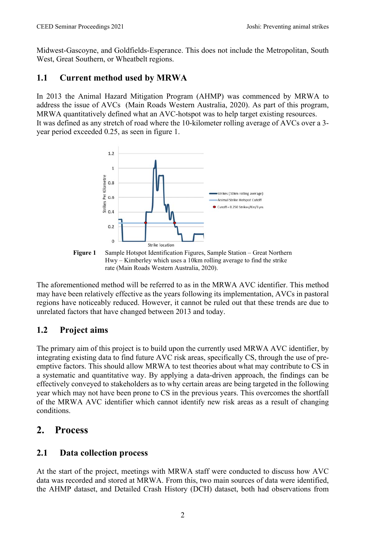Midwest-Gascoyne, and Goldfields-Esperance. This does not include the Metropolitan, South West, Great Southern, or Wheatbelt regions.

### **1.1 Current method used by MRWA**

In 2013 the Animal Hazard Mitigation Program (AHMP) was commenced by MRWA to address the issue of AVCs (Main Roads Western Australia, 2020). As part of this program, MRWA quantitatively defined what an AVC-hotspot was to help target existing resources. It was defined as any stretch of road where the 10-kilometer rolling average of AVCs over a 3 year period exceeded 0.25, as seen in figure 1.



**Figure 1** Sample Hotspot Identification Figures, Sample Station – Great Northern Hwy – Kimberley which uses a 10km rolling average to find the strike rate (Main Roads Western Australia, 2020).

The aforementioned method will be referred to as in the MRWA AVC identifier. This method may have been relatively effective as the years following its implementation, AVCs in pastoral regions have noticeably reduced. However, it cannot be ruled out that these trends are due to unrelated factors that have changed between 2013 and today.

### **1.2 Project aims**

The primary aim of this project is to build upon the currently used MRWA AVC identifier, by integrating existing data to find future AVC risk areas, specifically CS, through the use of preemptive factors. This should allow MRWA to test theories about what may contribute to CS in a systematic and quantitative way. By applying a data-driven approach, the findings can be effectively conveyed to stakeholders as to why certain areas are being targeted in the following year which may not have been prone to CS in the previous years. This overcomes the shortfall of the MRWA AVC identifier which cannot identify new risk areas as a result of changing conditions.

## **2. Process**

### **2.1 Data collection process**

At the start of the project, meetings with MRWA staff were conducted to discuss how AVC data was recorded and stored at MRWA. From this, two main sources of data were identified, the AHMP dataset, and Detailed Crash History (DCH) dataset, both had observations from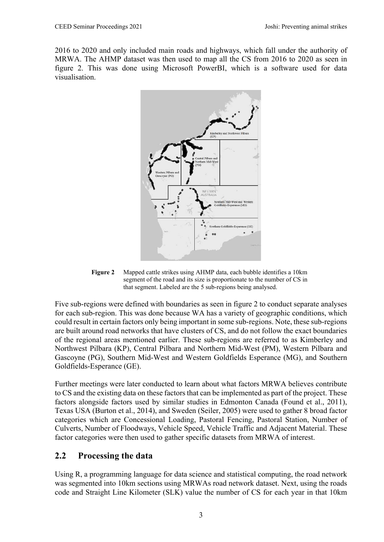2016 to 2020 and only included main roads and highways, which fall under the authority of MRWA. The AHMP dataset was then used to map all the CS from 2016 to 2020 as seen in figure 2. This was done using Microsoft PowerBI, which is a software used for data visualisation.



**Figure 2** Mapped cattle strikes using AHMP data, each bubble identifies a 10km segment of the road and its size is proportionate to the number of CS in that segment. Labeled are the 5 sub-regions being analysed.

Five sub-regions were defined with boundaries as seen in figure 2 to conduct separate analyses for each sub-region. This was done because WA has a variety of geographic conditions, which could result in certain factors only being important in some sub-regions. Note, these sub-regions are built around road networks that have clusters of CS, and do not follow the exact boundaries of the regional areas mentioned earlier. These sub-regions are referred to as Kimberley and Northwest Pilbara (KP), Central Pilbara and Northern Mid-West (PM), Western Pilbara and Gascoyne (PG), Southern Mid-West and Western Goldfields Esperance (MG), and Southern Goldfields-Esperance (GE).

Further meetings were later conducted to learn about what factors MRWA believes contribute to CS and the existing data on these factors that can be implemented as part of the project. These factors alongside factors used by similar studies in Edmonton Canada (Found et al., 2011), Texas USA (Burton et al., 2014), and Sweden (Seiler, 2005) were used to gather 8 broad factor categories which are Concessional Loading, Pastoral Fencing, Pastoral Station, Number of Culverts, Number of Floodways, Vehicle Speed, Vehicle Traffic and Adjacent Material. These factor categories were then used to gather specific datasets from MRWA of interest.

#### **2.2 Processing the data**

Using R, a programming language for data science and statistical computing, the road network was segmented into 10km sections using MRWAs road network dataset. Next, using the roads code and Straight Line Kilometer (SLK) value the number of CS for each year in that 10km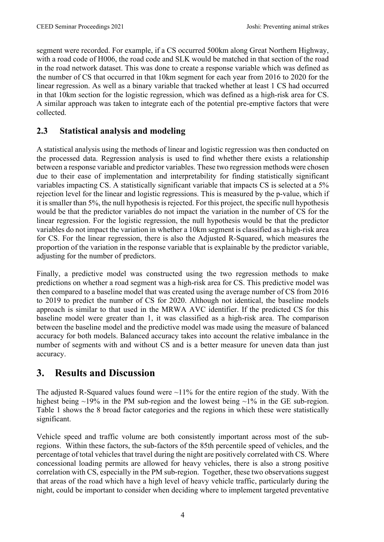segment were recorded. For example, if a CS occurred 500km along Great Northern Highway, with a road code of H006, the road code and SLK would be matched in that section of the road in the road network dataset. This was done to create a response variable which was defined as the number of CS that occurred in that 10km segment for each year from 2016 to 2020 for the linear regression. As well as a binary variable that tracked whether at least 1 CS had occurred in that 10km section for the logistic regression, which was defined as a high-risk area for CS. A similar approach was taken to integrate each of the potential pre-emptive factors that were collected.

### **2.3 Statistical analysis and modeling**

A statistical analysis using the methods of linear and logistic regression was then conducted on the processed data. Regression analysis is used to find whether there exists a relationship between a response variable and predictor variables. These two regression methods were chosen due to their ease of implementation and interpretability for finding statistically significant variables impacting CS. A statistically significant variable that impacts CS is selected at a 5% rejection level for the linear and logistic regressions. This is measured by the p-value, which if it is smaller than 5%, the null hypothesis is rejected. For this project, the specific null hypothesis would be that the predictor variables do not impact the variation in the number of CS for the linear regression. For the logistic regression, the null hypothesis would be that the predictor variables do not impact the variation in whether a 10km segment is classified as a high-risk area for CS. For the linear regression, there is also the Adjusted R-Squared, which measures the proportion of the variation in the response variable that is explainable by the predictor variable, adjusting for the number of predictors.

Finally, a predictive model was constructed using the two regression methods to make predictions on whether a road segment was a high-risk area for CS. This predictive model was then compared to a baseline model that was created using the average number of CS from 2016 to 2019 to predict the number of CS for 2020. Although not identical, the baseline models approach is similar to that used in the MRWA AVC identifier. If the predicted CS for this baseline model were greater than 1, it was classified as a high-risk area. The comparison between the baseline model and the predictive model was made using the measure of balanced accuracy for both models. Balanced accuracy takes into account the relative imbalance in the number of segments with and without CS and is a better measure for uneven data than just accuracy.

## **3. Results and Discussion**

The adjusted R-Squared values found were  $\sim$ 11% for the entire region of the study. With the highest being ~19% in the PM sub-region and the lowest being ~1% in the GE sub-region. Table 1 shows the 8 broad factor categories and the regions in which these were statistically significant.

Vehicle speed and traffic volume are both consistently important across most of the subregions. Within these factors, the sub-factors of the 85th percentile speed of vehicles, and the percentage of total vehicles that travel during the night are positively correlated with CS. Where concessional loading permits are allowed for heavy vehicles, there is also a strong positive correlation with CS, especially in the PM sub-region. Together, these two observations suggest that areas of the road which have a high level of heavy vehicle traffic, particularly during the night, could be important to consider when deciding where to implement targeted preventative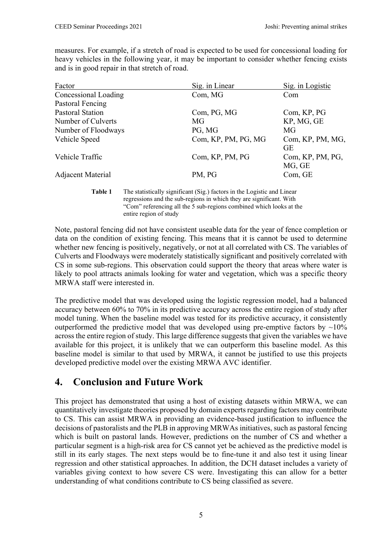measures. For example, if a stretch of road is expected to be used for concessional loading for heavy vehicles in the following year, it may be important to consider whether fencing exists and is in good repair in that stretch of road.

| Factor                  | Sig. in Linear      | Sig. in Logistic              |
|-------------------------|---------------------|-------------------------------|
| Concessional Loading    | Com, MG             | Com                           |
| Pastoral Fencing        |                     |                               |
| <b>Pastoral Station</b> | Com, PG, MG         | Com, KP, PG                   |
| Number of Culverts      | MG                  | KP, MG, GE                    |
| Number of Floodways     | PG, MG              | MG                            |
| Vehicle Speed           | Com, KP, PM, PG, MG | Com, KP, PM, MG,<br><b>GE</b> |
| Vehicle Traffic         | Com, KP, PM, PG     | Com, KP, PM, PG,<br>MG, GE    |
| Adjacent Material       | PM, PG              | Com, GE                       |

**Table 1** The statistically significant (Sig.) factors in the Logistic and Linear regressions and the sub-regions in which they are significant. With "Com" referencing all the 5 sub-regions combined which looks at the entire region of study

Note, pastoral fencing did not have consistent useable data for the year of fence completion or data on the condition of existing fencing. This means that it is cannot be used to determine whether new fencing is positively, negatively, or not at all correlated with CS. The variables of Culverts and Floodways were moderately statistically significant and positively correlated with CS in some sub-regions. This observation could support the theory that areas where water is likely to pool attracts animals looking for water and vegetation, which was a specific theory MRWA staff were interested in.

The predictive model that was developed using the logistic regression model, had a balanced accuracy between 60% to 70% in its predictive accuracy across the entire region of study after model tuning. When the baseline model was tested for its predictive accuracy, it consistently outperformed the predictive model that was developed using pre-emptive factors by  $\sim10\%$ across the entire region of study. This large difference suggests that given the variables we have available for this project, it is unlikely that we can outperform this baseline model. As this baseline model is similar to that used by MRWA, it cannot be justified to use this projects developed predictive model over the existing MRWA AVC identifier.

## **4. Conclusion and Future Work**

This project has demonstrated that using a host of existing datasets within MRWA, we can quantitatively investigate theories proposed by domain experts regarding factors may contribute to CS. This can assist MRWA in providing an evidence-based justification to influence the decisions of pastoralists and the PLB in approving MRWAs initiatives, such as pastoral fencing which is built on pastoral lands. However, predictions on the number of CS and whether a particular segment is a high-risk area for CS cannot yet be achieved as the predictive model is still in its early stages. The next steps would be to fine-tune it and also test it using linear regression and other statistical approaches. In addition, the DCH dataset includes a variety of variables giving context to how severe CS were. Investigating this can allow for a better understanding of what conditions contribute to CS being classified as severe.